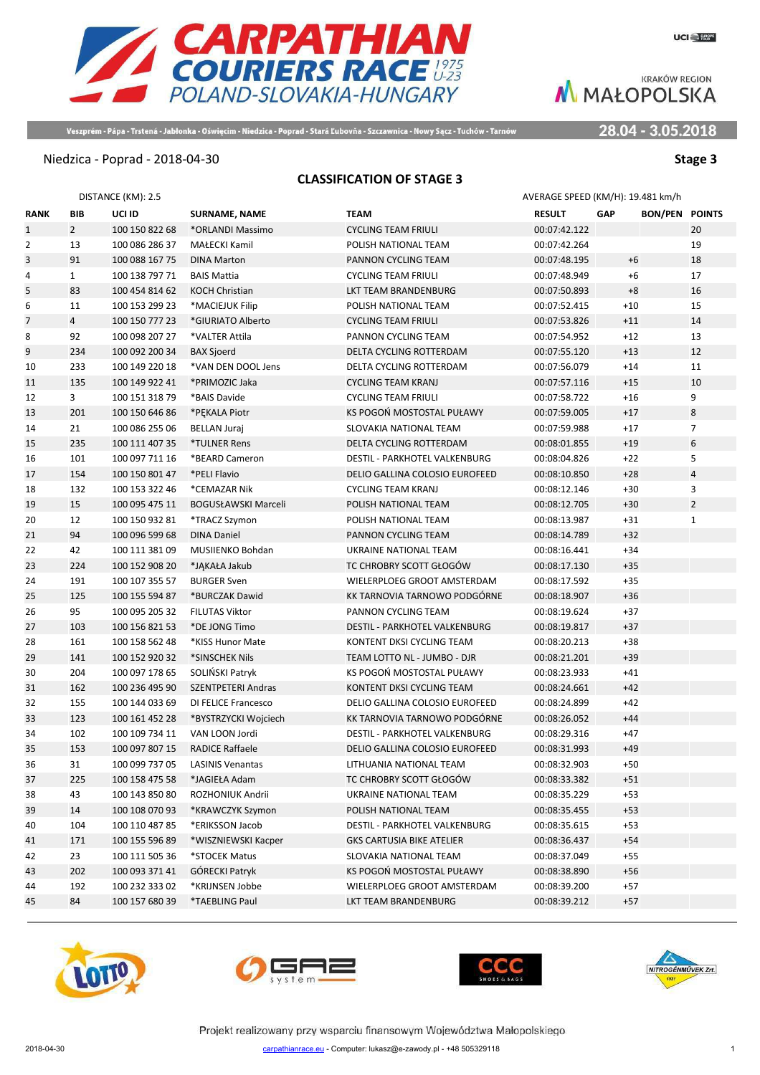28.04 - 3.05.2018



Veszprém - Pápa - Trstená - Jabłonka - Oświęcim - Niedzica - Poprad - Stará Ľubovňa - Szczawnica - Nowy Sącz - Tuchów - Tarnów

### Niedzica - Poprad - 2018-04-30 **Stage 3**

### **CLASSIFICATION OF STAGE 3**

|                |              | DISTANCE (KM): 2.5 |                            |                                      | AVERAGE SPEED (KM/H): 19.481 km/h |            |                       |                |
|----------------|--------------|--------------------|----------------------------|--------------------------------------|-----------------------------------|------------|-----------------------|----------------|
| <b>RANK</b>    | BIB          | UCI ID             | SURNAME, NAME              | <b>TEAM</b>                          | <b>RESULT</b>                     | <b>GAP</b> | <b>BON/PEN POINTS</b> |                |
| $\mathbf{1}$   | $2^{\circ}$  | 100 150 822 68     | *ORLANDI Massimo           | CYCLING TEAM FRIULI                  | 00:07:42.122                      |            |                       | 20             |
| $\overline{2}$ | 13           | 100 086 286 37     | MAŁECKI Kamil              | POLISH NATIONAL TEAM                 | 00:07:42.264                      |            |                       | 19             |
| 3              | 91           | 100 088 167 75     | <b>DINA Marton</b>         | PANNON CYCLING TEAM                  | 00:07:48.195                      |            | $+6$                  | 18             |
| 4              | $\mathbf{1}$ | 100 138 797 71     | <b>BAIS Mattia</b>         | <b>CYCLING TEAM FRIULI</b>           | 00:07:48.949                      |            | $+6$                  | 17             |
| 5              | 83           | 100 454 814 62     | <b>KOCH Christian</b>      | LKT TEAM BRANDENBURG                 | 00:07:50.893                      |            | $+8$                  | 16             |
| 6              | 11           | 100 153 299 23     | *MACIEJUK Filip            | POLISH NATIONAL TEAM                 | 00:07:52.415                      |            | $+10$                 | 15             |
| 7              | 4            | 100 150 777 23     | *GIURIATO Alberto          | <b>CYCLING TEAM FRIULI</b>           | 00:07:53.826                      |            | $+11$                 | 14             |
| 8              | 92           | 100 098 207 27     | *VALTER Attila             | PANNON CYCLING TEAM                  | 00:07:54.952                      |            | $+12$                 | 13             |
| 9              | 234          | 100 092 200 34     | <b>BAX Sjoerd</b>          | DELTA CYCLING ROTTERDAM              | 00:07:55.120                      |            | $+13$                 | 12             |
| 10             | 233          | 100 149 220 18     | *VAN DEN DOOL Jens         | DELTA CYCLING ROTTERDAM              | 00:07:56.079                      |            | $+14$                 | 11             |
| 11             | 135          | 100 149 922 41     | *PRIMOZIC Jaka             | CYCLING TEAM KRANJ                   | 00:07:57.116                      |            | $+15$                 | 10             |
| 12             | 3            | 100 151 318 79     | *BAIS Davide               | CYCLING TEAM FRIULI                  | 00:07:58.722                      |            | $+16$                 | 9              |
| 13             | 201          | 100 150 646 86     | *PEKALA Piotr              | KS POGOŃ MOSTOSTAL PUŁAWY            | 00:07:59.005                      |            | $+17$                 | 8              |
| 14             | 21           | 100 086 255 06     | <b>BELLAN Juraj</b>        | SLOVAKIA NATIONAL TEAM               | 00:07:59.988                      |            | $+17$                 | $\overline{7}$ |
| 15             | 235          | 100 111 407 35     | *TULNER Rens               | DELTA CYCLING ROTTERDAM              | 00:08:01.855                      |            | $+19$                 | 6              |
| 16             | 101          | 100 097 711 16     | *BEARD Cameron             | DESTIL - PARKHOTEL VALKENBURG        | 00:08:04.826                      |            | $+22$                 | 5              |
| 17             | 154          | 100 150 801 47     | *PELI Flavio               | DELIO GALLINA COLOSIO EUROFEED       | 00:08:10.850                      |            | $+28$                 | $\sqrt{4}$     |
| 18             | 132          | 100 153 322 46     | *CEMAZAR Nik               | CYCLING TEAM KRANJ                   | 00:08:12.146                      |            | $+30$                 | 3              |
| 19             | 15           | 100 095 475 11     | <b>BOGUSŁAWSKI Marceli</b> | POLISH NATIONAL TEAM                 | 00:08:12.705                      |            | $+30$                 | $\overline{2}$ |
| 20             | 12           | 100 150 932 81     | *TRACZ Szymon              | POLISH NATIONAL TEAM                 | 00:08:13.987                      |            | $+31$                 | $\mathbf{1}$   |
| 21             | 94           | 100 096 599 68     | <b>DINA Daniel</b>         | PANNON CYCLING TEAM                  | 00:08:14.789                      |            | $+32$                 |                |
| 22             | 42           | 100 111 381 09     | MUSIIENKO Bohdan           | UKRAINE NATIONAL TEAM                | 00:08:16.441                      |            | $+34$                 |                |
| 23             | 224          | 100 152 908 20     | *JĄKAŁA Jakub              | TC CHROBRY SCOTT GŁOGÓW              | 00:08:17.130                      |            | $+35$                 |                |
| 24             | 191          | 100 107 355 57     | <b>BURGER Sven</b>         | WIELERPLOEG GROOT AMSTERDAM          | 00:08:17.592                      |            | $+35$                 |                |
| 25             | 125          | 100 155 594 87     | *BURCZAK Dawid             | KK TARNOVIA TARNOWO PODGÓRNE         | 00:08:18.907                      |            | $+36$                 |                |
| 26             | 95           | 100 095 205 32     | <b>FILUTAS Viktor</b>      | PANNON CYCLING TEAM                  | 00:08:19.624                      |            | $+37$                 |                |
| 27             | 103          | 100 156 821 53     | *DE JONG Timo              | DESTIL - PARKHOTEL VALKENBURG        | 00:08:19.817                      |            | $+37$                 |                |
| 28             | 161          | 100 158 562 48     | *KISS Hunor Mate           | KONTENT DKSI CYCLING TEAM            | 00:08:20.213                      |            | $+38$                 |                |
| 29             | 141          | 100 152 920 32     | *SINSCHEK Nils             | TEAM LOTTO NL - JUMBO - DJR          | 00:08:21.201                      |            | $+39$                 |                |
| 30             | 204          | 100 097 178 65     | SOLIŃSKI Patryk            | KS POGOŃ MOSTOSTAL PUŁAWY            | 00:08:23.933                      |            | $+41$                 |                |
| 31             | 162          | 100 236 495 90     | <b>SZENTPETERI Andras</b>  | KONTENT DKSI CYCLING TEAM            | 00:08:24.661                      |            | $+42$                 |                |
| 32             | 155          | 100 144 033 69     | DI FELICE Francesco        | DELIO GALLINA COLOSIO EUROFEED       | 00:08:24.899                      |            | $+42$                 |                |
| 33             | 123          | 100 161 452 28     | *BYSTRZYCKI Wojciech       | KK TARNOVIA TARNOWO PODGÓRNE         | 00:08:26.052                      |            | $+44$                 |                |
| 34             | 102          | 100 109 734 11     | VAN LOON Jordi             | DESTIL - PARKHOTEL VALKENBURG        | 00:08:29.316                      |            | $+47$                 |                |
| 35             | 153          | 100 097 807 15     | <b>RADICE Raffaele</b>     | DELIO GALLINA COLOSIO EUROFEED       | 00:08:31.993                      |            | $+49$                 |                |
| 36             | 31           | 100 099 737 05     | <b>LASINIS Venantas</b>    | LITHUANIA NATIONAL TEAM              | 00:08:32.903                      |            | $+50$                 |                |
| 37             | 225          | 100 158 475 58     | *JAGIEŁA Adam              | TC CHROBRY SCOTT GŁOGÓW              | 00:08:33.382                      |            | $+51$                 |                |
| 38             | 43           | 100 143 850 80     | ROZHONIUK Andrii           | UKRAINE NATIONAL TEAM                | 00:08:35.229                      |            | $+53$                 |                |
| 39             | 14           | 100 108 070 93     | *KRAWCZYK Szymon           | POLISH NATIONAL TEAM                 | 00:08:35.455                      |            | $+53$                 |                |
| 40             | 104          | 100 110 487 85     | *ERIKSSON Jacob            | <b>DESTIL - PARKHOTEL VALKENBURG</b> | 00:08:35.615                      |            | $+53$                 |                |
| 41             | 171          | 100 155 596 89     | *WISZNIEWSKI Kacper        | <b>GKS CARTUSIA BIKE ATELIER</b>     | 00:08:36.437                      |            | $+54$                 |                |
| 42             | 23           | 100 111 505 36     | *STOCEK Matus              | SLOVAKIA NATIONAL TEAM               | 00:08:37.049                      |            | $+55$                 |                |
| 43             | 202          | 100 093 371 41     | GÓRECKI Patryk             | KS POGOŃ MOSTOSTAL PUŁAWY            | 00:08:38.890                      |            | $+56$                 |                |
| 44             | 192          | 100 232 333 02     | *KRIJNSEN Jobbe            | WIELERPLOEG GROOT AMSTERDAM          | 00:08:39.200                      |            | $+57$                 |                |
| 45             | 84           | 100 157 680 39     | *TAEBLING Paul             | LKT TEAM BRANDENBURG                 | 00:08:39.212                      |            | $+57$                 |                |
|                |              |                    |                            |                                      |                                   |            |                       |                |







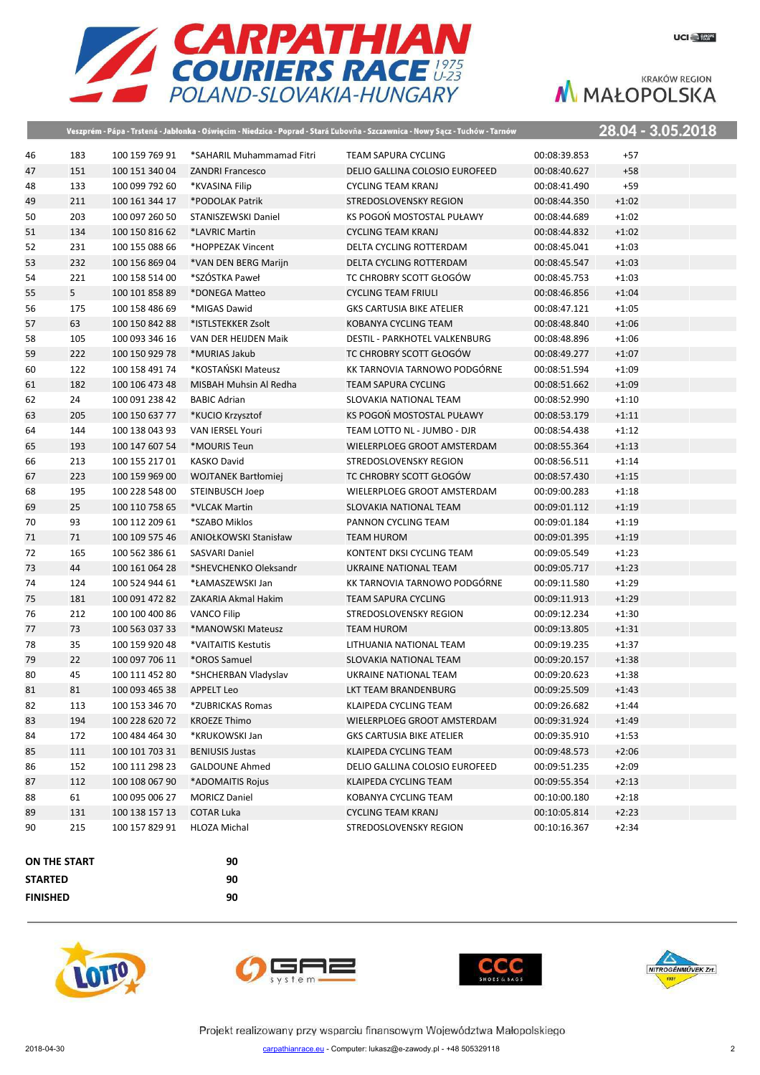

**Contract Contract Contract Contract Contract** 

|                |              |                |                              | Veszprém - Pápa - Trstená - Jabłonka - Oświęcim - Niedzica - Poprad - Stará Ľubovňa - Szczawnica - Nowy Sącz - Tuchów - Tarnów |              | 28.04 - 3.05.2018 |
|----------------|--------------|----------------|------------------------------|--------------------------------------------------------------------------------------------------------------------------------|--------------|-------------------|
| 46             | 183          | 100 159 769 91 | *SAHARIL Muhammamad Fitri    | <b>TEAM SAPURA CYCLING</b>                                                                                                     | 00:08:39.853 | $+57$             |
| 47             | 151          | 100 151 340 04 | <b>ZANDRI Francesco</b>      | DELIO GALLINA COLOSIO EUROFEED                                                                                                 | 00:08:40.627 | $+58$             |
| 48             | 133          | 100 099 792 60 | *KVASINA Filip               | <b>CYCLING TEAM KRANJ</b>                                                                                                      | 00:08:41.490 | $+59$             |
| 49             | 211          | 100 161 344 17 | *PODOLAK Patrik              | STREDOSLOVENSKY REGION                                                                                                         | 00:08:44.350 | $+1:02$           |
| 50             | 203          | 100 097 260 50 | STANISZEWSKI Daniel          | KS POGOŃ MOSTOSTAL PUŁAWY                                                                                                      | 00:08:44.689 | $+1:02$           |
| 51             | 134          | 100 150 816 62 | *LAVRIC Martin               | <b>CYCLING TEAM KRANJ</b>                                                                                                      | 00:08:44.832 | $+1:02$           |
| 52             | 231          | 100 155 088 66 | *HOPPEZAK Vincent            | DELTA CYCLING ROTTERDAM                                                                                                        | 00:08:45.041 | $+1:03$           |
| 53             | 232          | 100 156 869 04 | *VAN DEN BERG Marijn         | DELTA CYCLING ROTTERDAM                                                                                                        | 00:08:45.547 | $+1:03$           |
| 54             | 221          | 100 158 514 00 | *SZÓSTKA Paweł               | TC CHROBRY SCOTT GŁOGÓW                                                                                                        | 00:08:45.753 | $+1:03$           |
| 55             | 5            | 100 101 858 89 | *DONEGA Matteo               | <b>CYCLING TEAM FRIULI</b>                                                                                                     | 00:08:46.856 | $+1:04$           |
| 56             | 175          | 100 158 486 69 | *MIGAS Dawid                 | <b>GKS CARTUSIA BIKE ATELIER</b>                                                                                               | 00:08:47.121 | $+1:05$           |
| 57             | 63           | 100 150 842 88 | *ISTLSTEKKER Zsolt           | KOBANYA CYCLING TEAM                                                                                                           | 00:08:48.840 | $+1:06$           |
| 58             | 105          | 100 093 346 16 | VAN DER HEIJDEN Maik         | DESTIL - PARKHOTEL VALKENBURG                                                                                                  | 00:08:48.896 | $+1:06$           |
| 59             | 222          | 100 150 929 78 | *MURIAS Jakub                | TC CHROBRY SCOTT GŁOGÓW                                                                                                        | 00:08:49.277 | $+1:07$           |
| 60             | 122          | 100 158 491 74 | *KOSTAŃSKI Mateusz           | KK TARNOVIA TARNOWO PODGÓRNE                                                                                                   | 00:08:51.594 | $+1:09$           |
| 61             | 182          | 100 106 473 48 | MISBAH Muhsin Al Redha       | <b>TEAM SAPURA CYCLING</b>                                                                                                     | 00:08:51.662 | $+1:09$           |
| 62             | 24           | 100 091 238 42 | <b>BABIC Adrian</b>          | SLOVAKIA NATIONAL TEAM                                                                                                         | 00:08:52.990 | $+1:10$           |
| 63             | 205          | 100 150 637 77 | *KUCIO Krzysztof             | KS POGOŃ MOSTOSTAL PUŁAWY                                                                                                      | 00:08:53.179 | $+1:11$           |
| 64             | 144          | 100 138 043 93 | VAN IERSEL Youri             | TEAM LOTTO NL - JUMBO - DJR                                                                                                    | 00:08:54.438 | $+1:12$           |
| 65             | 193          | 100 147 607 54 | *MOURIS Teun                 | WIELERPLOEG GROOT AMSTERDAM                                                                                                    | 00:08:55.364 | $+1:13$           |
| 66             | 213          | 100 155 217 01 | <b>KASKO David</b>           | STREDOSLOVENSKY REGION                                                                                                         | 00:08:56.511 | $+1:14$           |
| 67             | 223          | 100 159 969 00 | <b>WOJTANEK Bartłomiej</b>   | TC CHROBRY SCOTT GŁOGÓW                                                                                                        | 00:08:57.430 | $+1:15$           |
| 68             | 195          | 100 228 548 00 | <b>STEINBUSCH Joep</b>       | WIELERPLOEG GROOT AMSTERDAM                                                                                                    | 00:09:00.283 | $+1:18$           |
| 69             | 25           | 100 110 758 65 | *VLCAK Martin                | SLOVAKIA NATIONAL TEAM                                                                                                         | 00:09:01.112 | $+1:19$           |
| 70             | 93           | 100 112 209 61 | *SZABO Miklos                | PANNON CYCLING TEAM                                                                                                            | 00:09:01.184 | $+1:19$           |
| 71             | 71           | 100 109 575 46 | <b>ANIOŁKOWSKI Stanisław</b> | <b>TEAM HUROM</b>                                                                                                              | 00:09:01.395 | $+1:19$           |
| 72             | 165          | 100 562 386 61 | <b>SASVARI Daniel</b>        | KONTENT DKSI CYCLING TEAM                                                                                                      | 00:09:05.549 | $+1:23$           |
| 73             | 44           | 100 161 064 28 | *SHEVCHENKO Oleksandr        | UKRAINE NATIONAL TEAM                                                                                                          | 00:09:05.717 | $+1:23$           |
| 74             | 124          | 100 524 944 61 | *ŁAMASZEWSKI Jan             | KK TARNOVIA TARNOWO PODGÓRNE                                                                                                   | 00:09:11.580 | $+1:29$           |
| 75             | 181          | 100 091 472 82 | ZAKARIA Akmal Hakim          | <b>TEAM SAPURA CYCLING</b>                                                                                                     | 00:09:11.913 | $+1:29$           |
| 76             | 212          | 100 100 400 86 | <b>VANCO Filip</b>           | STREDOSLOVENSKY REGION                                                                                                         | 00:09:12.234 | $+1:30$           |
| 77             | 73           | 100 563 037 33 | *MANOWSKI Mateusz            | <b>TEAM HUROM</b>                                                                                                              | 00:09:13.805 | $+1:31$           |
| 78             | 35           | 100 159 920 48 | *VAITAITIS Kestutis          | LITHUANIA NATIONAL TEAM                                                                                                        | 00:09:19.235 | $+1:37$           |
| 79             | 22           | 100 097 706 11 | *OROS Samuel                 | SLOVAKIA NATIONAL TEAM                                                                                                         | 00:09:20.157 | $+1:38$           |
| 80             | 45           | 100 111 452 80 | *SHCHERBAN Vladyslav         | UKRAINE NATIONAL TEAM                                                                                                          | 00:09:20.623 | $+1:38$           |
| 81             | 81           | 100 093 465 38 | <b>APPELT Leo</b>            | LKT TEAM BRANDENBURG                                                                                                           | 00:09:25.509 | $+1:43$           |
| 82             | 113          | 100 153 346 70 | *ZUBRICKAS Romas             | KLAIPEDA CYCLING TEAM                                                                                                          | 00:09:26.682 | $+1:44$           |
| 83             | 194          | 100 228 620 72 | <b>KROEZE Thimo</b>          | WIELERPLOEG GROOT AMSTERDAM                                                                                                    | 00:09:31.924 | $+1:49$           |
| 84             | 172          | 100 484 464 30 | *KRUKOWSKI Jan               | <b>GKS CARTUSIA BIKE ATELIER</b>                                                                                               | 00:09:35.910 | $+1:53$           |
| 85             | 111          | 100 101 703 31 | <b>BENIUSIS Justas</b>       | KLAIPEDA CYCLING TEAM                                                                                                          | 00:09:48.573 | $+2:06$           |
| 86             | 152          | 100 111 298 23 | <b>GALDOUNE Ahmed</b>        | DELIO GALLINA COLOSIO EUROFEED                                                                                                 | 00:09:51.235 | $+2:09$           |
| 87             | 112          | 100 108 067 90 | *ADOMAITIS Rojus             | KLAIPEDA CYCLING TEAM                                                                                                          | 00:09:55.354 | $+2:13$           |
| 88             | 61           | 100 095 006 27 | <b>MORICZ Daniel</b>         | KOBANYA CYCLING TEAM                                                                                                           | 00:10:00.180 | $+2:18$           |
| 89             | 131          | 100 138 157 13 | <b>COTAR Luka</b>            | <b>CYCLING TEAM KRANJ</b>                                                                                                      | 00:10:05.814 | $+2:23$           |
| 90             | 215          | 100 157 829 91 | HLOZA Michal                 | STREDOSLOVENSKY REGION                                                                                                         | 00:10:16.367 | $+2:34$           |
|                |              |                |                              |                                                                                                                                |              |                   |
|                | ON THE START |                | 90                           |                                                                                                                                |              |                   |
| <b>STARTED</b> |              |                | 90                           |                                                                                                                                |              |                   |
|                |              |                |                              |                                                                                                                                |              |                   |

**FINISHED 90**







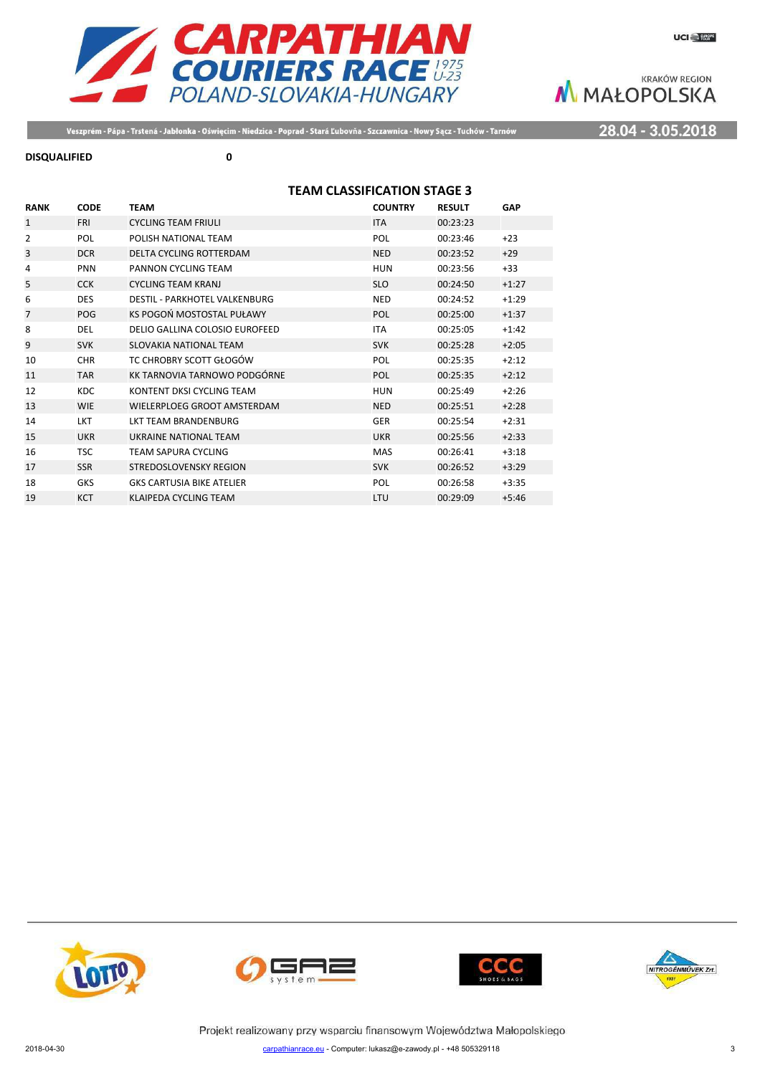

Veszprém - Pápa - Trstená - Jabłonka - Oświęcim - Niedzica - Poprad - Stará Ľubovňa - Szczawnica - Nowy Sącz - Tuchów - Tarnów

## 28.04 - 3.05.2018

#### **DISQUALIFIED 0**

# **TEAM CLASSIFICATION STAGE 3**

| <b>RANK</b> | <b>CODE</b> | <b>TEAM</b>                          | <b>COUNTRY</b> | <b>RESULT</b> | GAP     |
|-------------|-------------|--------------------------------------|----------------|---------------|---------|
| 1           | <b>FRI</b>  | <b>CYCLING TEAM FRIULI</b>           | <b>ITA</b>     | 00:23:23      |         |
| 2           | POL         | POLISH NATIONAL TEAM                 | POL            | 00:23:46      | $+23$   |
| 3           | <b>DCR</b>  | DELTA CYCLING ROTTERDAM              | <b>NED</b>     | 00:23:52      | $+29$   |
| 4           | <b>PNN</b>  | PANNON CYCLING TEAM                  | <b>HUN</b>     | 00:23:56      | $+33$   |
| 5           | <b>CCK</b>  | <b>CYCLING TEAM KRANJ</b>            | <b>SLO</b>     | 00:24:50      | $+1:27$ |
| 6           | <b>DES</b>  | <b>DESTIL - PARKHOTEL VALKENBURG</b> | <b>NED</b>     | 00:24:52      | $+1:29$ |
| 7           | <b>POG</b>  | KS POGOŃ MOSTOSTAL PUŁAWY            | POL            | 00:25:00      | $+1:37$ |
| 8           | <b>DEL</b>  | DELIO GALLINA COLOSIO EUROFEED       | <b>ITA</b>     | 00:25:05      | $+1:42$ |
| 9           | <b>SVK</b>  | <b>SLOVAKIA NATIONAL TEAM</b>        | <b>SVK</b>     | 00:25:28      | $+2:05$ |
| 10          | <b>CHR</b>  | TC CHROBRY SCOTT GŁOGÓW              | POL            | 00:25:35      | $+2:12$ |
| 11          | <b>TAR</b>  | KK TARNOVIA TARNOWO PODGÓRNE         | POL            | 00:25:35      | $+2:12$ |
| 12          | <b>KDC</b>  | KONTENT DKSI CYCLING TEAM            | <b>HUN</b>     | 00:25:49      | $+2:26$ |
| 13          | <b>WIE</b>  | WIELERPLOEG GROOT AMSTERDAM          | <b>NED</b>     | 00:25:51      | $+2:28$ |
| 14          | <b>LKT</b>  | I KT TFAM BRANDFNBURG                | <b>GER</b>     | 00:25:54      | $+2:31$ |
| 15          | <b>UKR</b>  | <b>UKRAINE NATIONAL TEAM</b>         | <b>UKR</b>     | 00:25:56      | $+2:33$ |
| 16          | <b>TSC</b>  | <b>TEAM SAPURA CYCLING</b>           | <b>MAS</b>     | 00:26:41      | $+3:18$ |
| 17          | <b>SSR</b>  | STREDOSLOVENSKY REGION               | <b>SVK</b>     | 00:26:52      | $+3:29$ |
| 18          | <b>GKS</b>  | <b>GKS CARTUSIA BIKE ATELIER</b>     | POL            | 00:26:58      | $+3:35$ |
| 19          | <b>KCT</b>  | <b>KLAIPEDA CYCLING TEAM</b>         | LTU            | 00:29:09      | $+5:46$ |







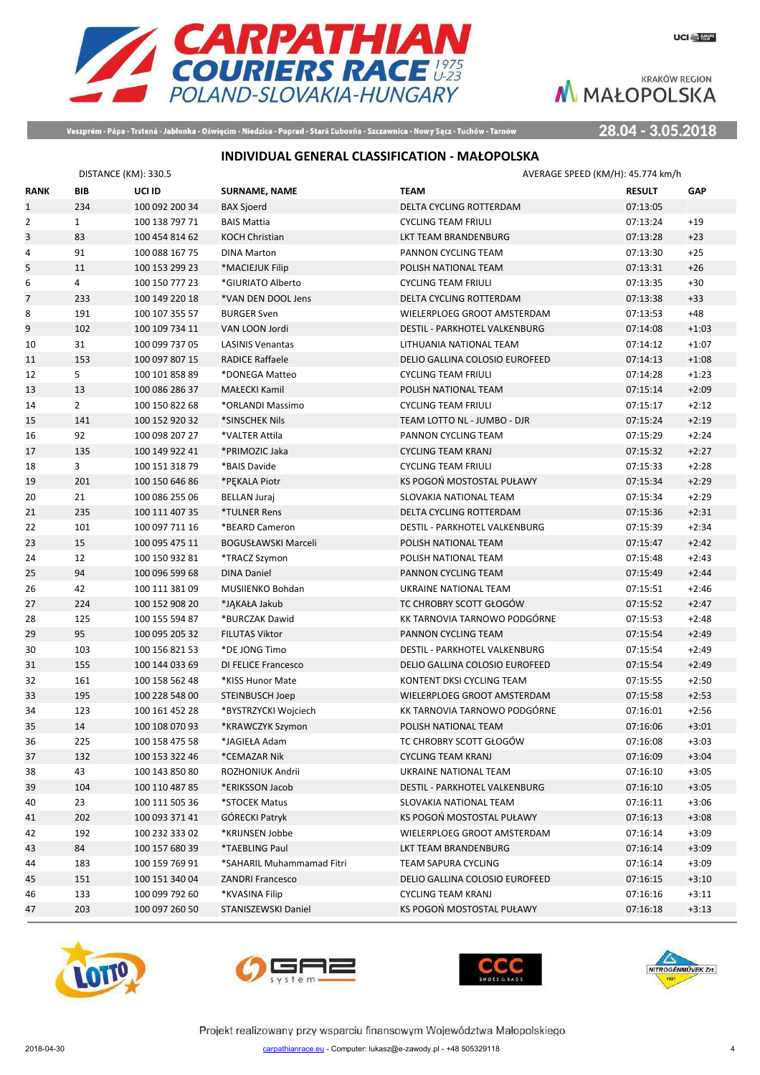

Veszprém - Pápa - Trstená - Jabłonka - Oświęcim - Niedzica - Poprad - Stará Ľubovňa - Szczawnica - Nowy Sącz - Tuchów - Tarnów

28.04 - 3.05.2018

# **INDIVIDUAL GENERAL CLASSIFICATION - MAŁOPOLSKA**

|                | DISTANCE (KM): 330.5 |                |                           | AVERAGE SPEED (KM/H): 45.774 km/h    |               |            |
|----------------|----------------------|----------------|---------------------------|--------------------------------------|---------------|------------|
| <b>RANK</b>    | <b>BIB</b>           | UCI ID         | <b>SURNAME, NAME</b>      | <b>TEAM</b>                          | <b>RESULT</b> | <b>GAP</b> |
| $\mathbf{1}$   | 234                  | 100 092 200 34 | <b>BAX Sjoerd</b>         | DELTA CYCLING ROTTERDAM              | 07:13:05      |            |
| $\overline{2}$ | $\mathbf{1}$         | 100 138 797 71 | <b>BAIS Mattia</b>        | <b>CYCLING TEAM FRIULI</b>           | 07:13:24      | $+19$      |
| 3              | 83                   | 100 454 814 62 | <b>KOCH Christian</b>     | LKT TEAM BRANDENBURG                 | 07:13:28      | $+23$      |
| 4              | 91                   | 100 088 167 75 | <b>DINA Marton</b>        | PANNON CYCLING TEAM                  | 07:13:30      | $+25$      |
| 5              | 11                   | 100 153 299 23 | *MACIEJUK Filip           | POLISH NATIONAL TEAM                 | 07:13:31      | $+26$      |
| 6              | 4                    | 100 150 777 23 | *GIURIATO Alberto         | <b>CYCLING TEAM FRIULI</b>           | 07:13:35      | $+30$      |
| $\overline{7}$ | 233                  | 100 149 220 18 | *VAN DEN DOOL Jens        | DELTA CYCLING ROTTERDAM              | 07:13:38      | $+33$      |
| 8              | 191                  | 100 107 355 57 | <b>BURGER Sven</b>        | WIELERPLOEG GROOT AMSTERDAM          | 07:13:53      | $+48$      |
| 9              | 102                  | 100 109 734 11 | VAN LOON Jordi            | DESTIL - PARKHOTEL VALKENBURG        | 07:14:08      | $+1:03$    |
| 10             | 31                   | 100 099 737 05 | <b>LASINIS Venantas</b>   | LITHUANIA NATIONAL TEAM              | 07:14:12      | $+1:07$    |
| 11             | 153                  | 100 097 807 15 | <b>RADICE Raffaele</b>    | DELIO GALLINA COLOSIO EUROFEED       | 07:14:13      | $+1:08$    |
| 12             | 5                    | 100 101 858 89 | *DONEGA Matteo            | <b>CYCLING TEAM FRIULI</b>           | 07:14:28      | $+1:23$    |
| 13             | 13                   | 100 086 286 37 | <b>MAŁECKI Kamil</b>      | POLISH NATIONAL TEAM                 | 07:15:14      | $+2:09$    |
| 14             | $\overline{2}$       | 100 150 822 68 | *ORLANDI Massimo          | <b>CYCLING TEAM FRIULI</b>           | 07:15:17      | $+2:12$    |
| 15             | 141                  | 100 152 920 32 | *SINSCHEK Nils            | TEAM LOTTO NL - JUMBO - DJR          | 07:15:24      | $+2:19$    |
| 16             | 92                   | 100 098 207 27 | *VALTER Attila            | PANNON CYCLING TEAM                  | 07:15:29      | $+2:24$    |
| 17             | 135                  | 100 149 922 41 | *PRIMOZIC Jaka            | <b>CYCLING TEAM KRANJ</b>            | 07:15:32      | $+2:27$    |
| 18             | 3                    | 100 151 318 79 | *BAIS Davide              | <b>CYCLING TEAM FRIULI</b>           | 07:15:33      | $+2:28$    |
| 19             | 201                  | 100 150 646 86 | *PEKALA Piotr             | KS POGOŃ MOSTOSTAL PUŁAWY            | 07:15:34      | $+2:29$    |
| 20             | 21                   | 100 086 255 06 | <b>BELLAN Juraj</b>       | SLOVAKIA NATIONAL TEAM               | 07:15:34      | $+2:29$    |
| 21             | 235                  | 100 111 407 35 | *TULNER Rens              | DELTA CYCLING ROTTERDAM              | 07:15:36      | $+2:31$    |
| 22             | 101                  | 100 097 711 16 | *BEARD Cameron            | <b>DESTIL - PARKHOTEL VALKENBURG</b> | 07:15:39      | $+2:34$    |
| 23             | 15                   | 100 095 475 11 | BOGUSŁAWSKI Marceli       | POLISH NATIONAL TEAM                 | 07:15:47      | $+2:42$    |
| 24             | 12                   | 100 150 932 81 | *TRACZ Szymon             | POLISH NATIONAL TEAM                 | 07:15:48      | $+2:43$    |
| 25             | 94                   | 100 096 599 68 | <b>DINA Daniel</b>        | PANNON CYCLING TEAM                  | 07:15:49      | $+2:44$    |
| 26             | 42                   | 100 111 381 09 | MUSIIENKO Bohdan          | UKRAINE NATIONAL TEAM                | 07:15:51      | $+2:46$    |
| 27             | 224                  | 100 152 908 20 | *JAKAŁA Jakub             | TC CHROBRY SCOTT GŁOGÓW              | 07:15:52      | $+2:47$    |
| 28             | 125                  | 100 155 594 87 | *BURCZAK Dawid            | KK TARNOVIA TARNOWO PODGÓRNE         | 07:15:53      | $+2:48$    |
| 29             | 95                   | 100 095 205 32 | <b>FILUTAS Viktor</b>     | PANNON CYCLING TEAM                  | 07:15:54      | $+2:49$    |
| 30             | 103                  | 100 156 821 53 | *DE JONG Timo             | DESTIL - PARKHOTEL VALKENBURG        | 07:15:54      | $+2:49$    |
| 31             | 155                  | 100 144 033 69 | DI FELICE Francesco       | DELIO GALLINA COLOSIO EUROFEED       | 07:15:54      | $+2:49$    |
| 32             | 161                  | 100 158 562 48 | *KISS Hunor Mate          | KONTENT DKSI CYCLING TEAM            | 07:15:55      | $+2:50$    |
| 33             | 195                  | 100 228 548 00 | STEINBUSCH Joep           | WIELERPLOEG GROOT AMSTERDAM          | 07:15:58      | $+2:53$    |
| 34             | 123                  | 100 161 452 28 | *BYSTRZYCKI Wojciech      | KK TARNOVIA TARNOWO PODGÓRNE         | 07:16:01      | $+2:56$    |
| 35             | 14                   | 100 108 070 93 | *KRAWCZYK Szymon          | POLISH NATIONAL TEAM                 | 07:16:06      | $+3:01$    |
| 36             | 225                  | 100 158 475 58 | *JAGIEŁA Adam             | TC CHROBRY SCOTT GŁOGÓW              | 07:16:08      | $+3:03$    |
| 37             | 132                  | 100 153 322 46 | *CEMAZAR Nik              | CYCLING TEAM KRANJ                   | 07:16:09      | $+3:04$    |
| 38             | 43                   | 100 143 850 80 | ROZHONIUK Andrii          | UKRAINE NATIONAL TEAM                | 07:16:10      | $+3:05$    |
| 39             | 104                  | 100 110 487 85 | *ERIKSSON Jacob           | DESTIL - PARKHOTEL VALKENBURG        | 07:16:10      | $+3:05$    |
| 40             | 23                   | 100 111 505 36 | *STOCEK Matus             | SLOVAKIA NATIONAL TEAM               | 07:16:11      | $+3:06$    |
| 41             | 202                  | 100 093 371 41 | GÓRECKI Patryk            | KS POGOŃ MOSTOSTAL PUŁAWY            | 07:16:13      | $+3:08$    |
| 42             | 192                  | 100 232 333 02 | *KRIJNSEN Jobbe           | WIELERPLOEG GROOT AMSTERDAM          | 07:16:14      | $+3:09$    |
| 43             | 84                   | 100 157 680 39 | *TAEBLING Paul            | LKT TEAM BRANDENBURG                 | 07:16:14      | $+3:09$    |
| 44             | 183                  | 100 159 769 91 | *SAHARIL Muhammamad Fitri | TEAM SAPURA CYCLING                  | 07:16:14      | $+3:09$    |
| 45             | 151                  | 100 151 340 04 | <b>ZANDRI Francesco</b>   | DELIO GALLINA COLOSIO EUROFEED       | 07:16:15      | $+3:10$    |
| 46             | 133                  | 100 099 792 60 | *KVASINA Filip            | <b>CYCLING TEAM KRANJ</b>            | 07:16:16      | $+3:11$    |
| 47             | 203                  | 100 097 260 50 | STANISZEWSKI Daniel       | KS POGOŃ MOSTOSTAL PUŁAWY            | 07:16:18      | $+3:13$    |







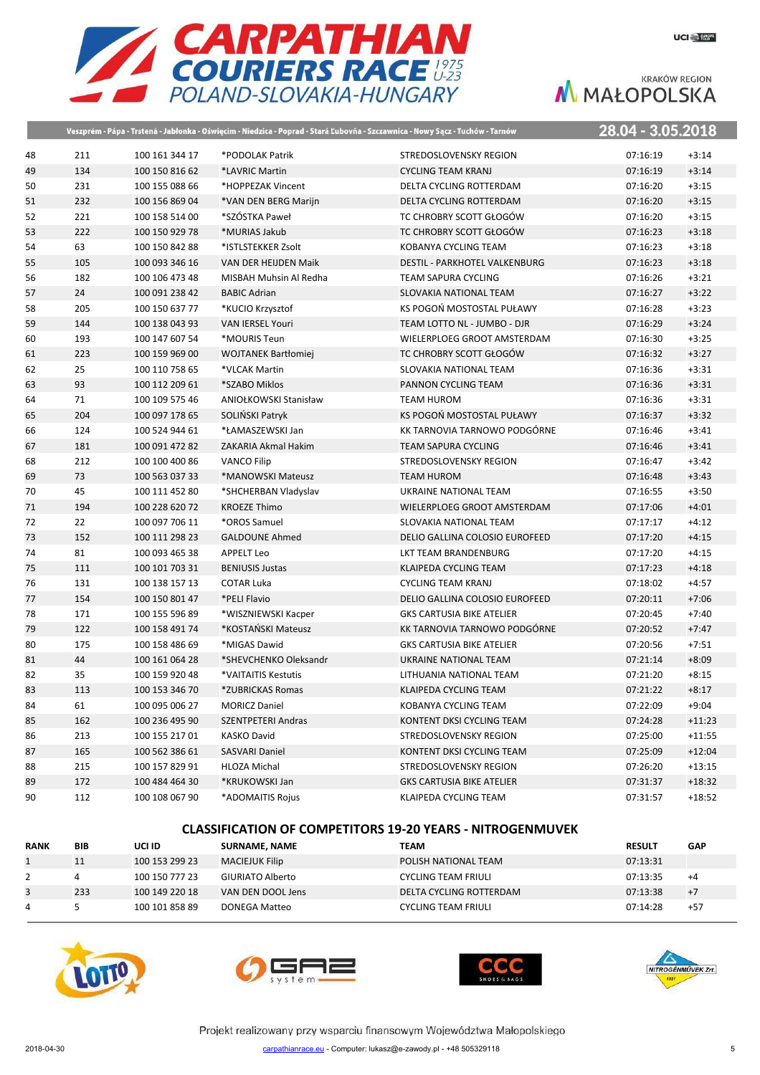

|    |     |                | Veszprém - Pápa - Trstená - Jabłonka - Oświęcim - Niedzica - Poprad - Stará Ľubovňa - Szczawnica - Nowy Sącz - Tuchów - Tarnów |                                      | 28.04 - 3.05.2018 |          |
|----|-----|----------------|--------------------------------------------------------------------------------------------------------------------------------|--------------------------------------|-------------------|----------|
| 48 | 211 | 100 161 344 17 | *PODOLAK Patrik                                                                                                                | STREDOSLOVENSKY REGION               | 07:16:19          | $+3:14$  |
| 49 | 134 | 100 150 816 62 | *LAVRIC Martin                                                                                                                 | <b>CYCLING TEAM KRANJ</b>            | 07:16:19          | $+3:14$  |
| 50 | 231 | 100 155 088 66 | *HOPPEZAK Vincent                                                                                                              | DELTA CYCLING ROTTERDAM              | 07:16:20          | $+3:15$  |
| 51 | 232 | 100 156 869 04 | *VAN DEN BERG Marijn                                                                                                           | DELTA CYCLING ROTTERDAM              | 07:16:20          | $+3:15$  |
| 52 | 221 | 100 158 514 00 | *SZÓSTKA Paweł                                                                                                                 | TC CHROBRY SCOTT GŁOGÓW              | 07:16:20          | $+3:15$  |
| 53 | 222 | 100 150 929 78 | *MURIAS Jakub                                                                                                                  | TC CHROBRY SCOTT GŁOGÓW              | 07:16:23          | $+3:18$  |
| 54 | 63  | 100 150 842 88 | *ISTLSTEKKER Zsolt                                                                                                             | KOBANYA CYCLING TEAM                 | 07:16:23          | $+3:18$  |
| 55 | 105 | 100 093 346 16 | VAN DER HEIJDEN Maik                                                                                                           | <b>DESTIL - PARKHOTEL VALKENBURG</b> | 07:16:23          | $+3:18$  |
| 56 | 182 | 100 106 473 48 | MISBAH Muhsin Al Redha                                                                                                         | TEAM SAPURA CYCLING                  | 07:16:26          | $+3:21$  |
| 57 | 24  | 100 091 238 42 | <b>BABIC Adrian</b>                                                                                                            | SLOVAKIA NATIONAL TEAM               | 07:16:27          | $+3:22$  |
| 58 | 205 | 100 150 637 77 | *KUCIO Krzysztof                                                                                                               | KS POGOŃ MOSTOSTAL PUŁAWY            | 07:16:28          | $+3:23$  |
| 59 | 144 | 100 138 043 93 | <b>VAN IERSEL Youri</b>                                                                                                        | TEAM LOTTO NL - JUMBO - DJR          | 07:16:29          | $+3:24$  |
| 60 | 193 | 100 147 607 54 | *MOURIS Teun                                                                                                                   | WIELERPLOEG GROOT AMSTERDAM          | 07:16:30          | $+3:25$  |
| 61 | 223 | 100 159 969 00 | <b>WOJTANEK Bartłomiej</b>                                                                                                     | TC CHROBRY SCOTT GŁOGÓW              | 07:16:32          | $+3:27$  |
| 62 | 25  | 100 110 758 65 | *VLCAK Martin                                                                                                                  | SLOVAKIA NATIONAL TEAM               | 07:16:36          | $+3:31$  |
| 63 | 93  | 100 112 209 61 | *SZABO Miklos                                                                                                                  | PANNON CYCLING TEAM                  | 07:16:36          | $+3:31$  |
| 64 | 71  | 100 109 575 46 | <b>ANIOŁKOWSKI Stanisław</b>                                                                                                   | TEAM HUROM                           | 07:16:36          | $+3:31$  |
| 65 | 204 | 100 097 178 65 | SOLINSKI Patryk                                                                                                                | KS POGOŃ MOSTOSTAL PUŁAWY            | 07:16:37          | $+3:32$  |
| 66 | 124 | 100 524 944 61 | *ŁAMASZEWSKI Jan                                                                                                               | KK TARNOVIA TARNOWO PODGÓRNE         | 07:16:46          | $+3:41$  |
| 67 | 181 | 100 091 472 82 | ZAKARIA Akmal Hakim                                                                                                            | <b>TEAM SAPURA CYCLING</b>           | 07:16:46          | $+3:41$  |
| 68 | 212 | 100 100 400 86 | <b>VANCO Filip</b>                                                                                                             | STREDOSLOVENSKY REGION               | 07:16:47          | $+3:42$  |
| 69 | 73  | 100 563 037 33 | *MANOWSKI Mateusz                                                                                                              | <b>TEAM HUROM</b>                    | 07:16:48          | $+3:43$  |
| 70 | 45  | 100 111 452 80 | *SHCHERBAN Vladyslav                                                                                                           | UKRAINE NATIONAL TEAM                | 07:16:55          | $+3:50$  |
| 71 | 194 | 100 228 620 72 | <b>KROEZE Thimo</b>                                                                                                            | WIELERPLOEG GROOT AMSTERDAM          | 07:17:06          | $+4:01$  |
| 72 | 22  | 100 097 706 11 | *OROS Samuel                                                                                                                   | SLOVAKIA NATIONAL TEAM               | 07:17:17          | $+4:12$  |
| 73 | 152 | 100 111 298 23 | <b>GALDOUNE Ahmed</b>                                                                                                          | DELIO GALLINA COLOSIO EUROFEED       | 07:17:20          | $+4:15$  |
| 74 | 81  | 100 093 465 38 | <b>APPELT Leo</b>                                                                                                              | LKT TEAM BRANDENBURG                 | 07:17:20          | $+4:15$  |
| 75 | 111 | 100 101 703 31 | <b>BENIUSIS Justas</b>                                                                                                         | KLAIPEDA CYCLING TEAM                | 07:17:23          | $+4:18$  |
| 76 | 131 | 100 138 157 13 | <b>COTAR Luka</b>                                                                                                              | <b>CYCLING TEAM KRANJ</b>            | 07:18:02          | $+4:57$  |
| 77 | 154 | 100 150 801 47 | *PELI Flavio                                                                                                                   | DELIO GALLINA COLOSIO EUROFEED       | 07:20:11          | $+7:06$  |
| 78 | 171 | 100 155 596 89 | *WISZNIEWSKI Kacper                                                                                                            | <b>GKS CARTUSIA BIKE ATELIER</b>     | 07:20:45          | $+7:40$  |
| 79 | 122 | 100 158 491 74 | *KOSTAŃSKI Mateusz                                                                                                             | KK TARNOVIA TARNOWO PODGÓRNE         | 07:20:52          | $+7:47$  |
| 80 | 175 | 100 158 486 69 | *MIGAS Dawid                                                                                                                   | <b>GKS CARTUSIA BIKE ATELIER</b>     | 07:20:56          | $+7:51$  |
| 81 | 44  | 100 161 064 28 | *SHEVCHENKO Oleksandr                                                                                                          | UKRAINE NATIONAL TEAM                | 07:21:14          | $+8:09$  |
| 82 | 35  | 100 159 920 48 | *VAITAITIS Kestutis                                                                                                            | LITHUANIA NATIONAL TEAM              | 07:21:20          | $+8:15$  |
| 83 | 113 | 100 153 346 70 | *ZUBRICKAS Romas                                                                                                               | KLAIPEDA CYCLING TEAM                | 07:21:22          | $+8:17$  |
| 84 | 61  | 100 095 006 27 | <b>MORICZ Daniel</b>                                                                                                           | KOBANYA CYCLING TEAM                 | 07:22:09          | $+9:04$  |
| 85 | 162 | 100 236 495 90 | <b>SZENTPETERI Andras</b>                                                                                                      | KONTENT DKSI CYCLING TEAM            | 07:24:28          | $+11:23$ |
| 86 | 213 | 100 155 217 01 | <b>KASKO David</b>                                                                                                             | STREDOSLOVENSKY REGION               | 07:25:00          | $+11:55$ |
| 87 | 165 | 100 562 386 61 | <b>SASVARI Daniel</b>                                                                                                          | KONTENT DKSI CYCLING TEAM            | 07:25:09          | $+12:04$ |
| 88 | 215 | 100 157 829 91 | <b>HLOZA Michal</b>                                                                                                            | STREDOSLOVENSKY REGION               | 07:26:20          | $+13:15$ |
| 89 | 172 | 100 484 464 30 | *KRUKOWSKI Jan                                                                                                                 | <b>GKS CARTUSIA BIKE ATELIER</b>     | 07:31:37          | $+18:32$ |
| 90 | 112 | 100 108 067 90 | *ADOMAITIS Rojus                                                                                                               | KLAIPEDA CYCLING TEAM                | 07:31:57          | $+18:52$ |

### **CLASSIFICATION OF COMPETITORS 19-20 YEARS - NITROGENMUVEK**

| <b>RANK</b> | BIB | UCI ID         | <b>SURNAME, NAME</b>  | <b>TEAM</b>                 | <b>RESULT</b> | <b>GAP</b> |
|-------------|-----|----------------|-----------------------|-----------------------------|---------------|------------|
|             |     | 100 153 299 23 | <b>MACIEJUK Filip</b> | <b>POLISH NATIONAL TEAM</b> | 07:13:31      |            |
|             |     | 100 150 777 23 | GIURIATO Alberto      | <b>CYCLING TEAM FRIULI</b>  | 07:13:35      | $+4$       |
|             | 233 | 100 149 220 18 | VAN DEN DOOL Jens     | DELTA CYCLING ROTTERDAM     | 07:13:38      | $+7$       |
|             |     | 100 101 858 89 | DONEGA Matteo         | <b>CYCLING TEAM FRIULI</b>  | 07:14:28      | $+57$      |







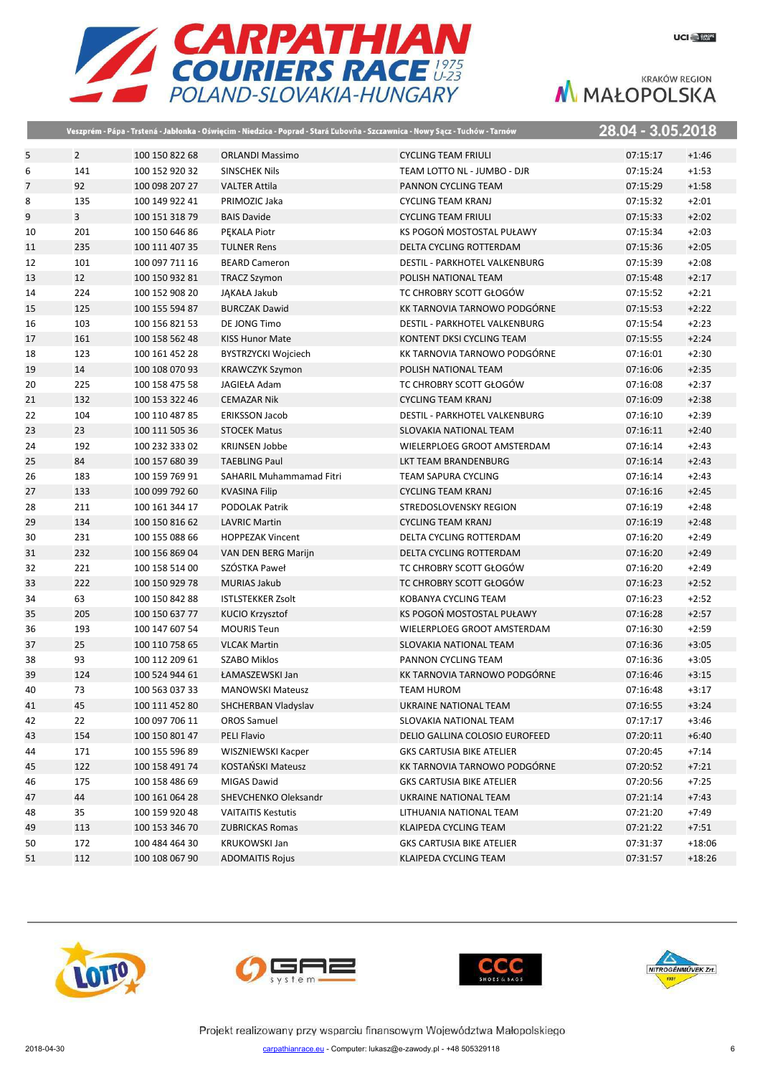



|    |                |                |                                 | Veszprém - Pápa - Trstená - Jabłonka - Oświęcim - Niedzica - Poprad - Stará Ľubovňa - Szczawnica - Nowy Sącz - Tuchów - Tarnów | 28.04 - 3.05.2018 |          |
|----|----------------|----------------|---------------------------------|--------------------------------------------------------------------------------------------------------------------------------|-------------------|----------|
| 5  | $\overline{2}$ | 100 150 822 68 | <b>ORLANDI Massimo</b>          | <b>CYCLING TEAM FRIULI</b>                                                                                                     | 07:15:17          | $+1:46$  |
| 6  | 141            | 100 152 920 32 | <b>SINSCHEK Nils</b>            | TEAM LOTTO NL - JUMBO - DJR                                                                                                    | 07:15:24          | $+1:53$  |
| 7  | 92             | 100 098 207 27 | <b>VALTER Attila</b>            | PANNON CYCLING TEAM                                                                                                            | 07:15:29          | $+1:58$  |
| 8  | 135            | 100 149 922 41 | PRIMOZIC Jaka                   | <b>CYCLING TEAM KRANJ</b>                                                                                                      | 07:15:32          | $+2:01$  |
| 9  | 3              | 100 151 318 79 | <b>BAIS Davide</b>              | <b>CYCLING TEAM FRIULI</b>                                                                                                     | 07:15:33          | $+2:02$  |
| 10 | 201            | 100 150 646 86 | PEKALA Piotr                    | KS POGOŃ MOSTOSTAL PUŁAWY                                                                                                      | 07:15:34          | $+2:03$  |
| 11 | 235            | 100 111 407 35 | <b>TULNER Rens</b>              | DELTA CYCLING ROTTERDAM                                                                                                        | 07:15:36          | $+2:05$  |
| 12 | 101            | 100 097 711 16 | <b>BEARD Cameron</b>            | DESTIL - PARKHOTEL VALKENBURG                                                                                                  | 07:15:39          | $+2:08$  |
| 13 | 12             | 100 150 932 81 | <b>TRACZ Szymon</b>             | POLISH NATIONAL TEAM                                                                                                           | 07:15:48          | $+2:17$  |
| 14 | 224            | 100 152 908 20 | JĄKAŁA Jakub                    | TC CHROBRY SCOTT GŁOGÓW                                                                                                        | 07:15:52          | $+2:21$  |
| 15 | 125            | 100 155 594 87 | <b>BURCZAK Dawid</b>            | KK TARNOVIA TARNOWO PODGÓRNE                                                                                                   | 07:15:53          | $+2:22$  |
| 16 | 103            | 100 156 821 53 | DE JONG Timo                    | DESTIL - PARKHOTEL VALKENBURG                                                                                                  | 07:15:54          | $+2:23$  |
| 17 | 161            | 100 158 562 48 | <b>KISS Hunor Mate</b>          | KONTENT DKSI CYCLING TEAM                                                                                                      | 07:15:55          | $+2:24$  |
| 18 | 123            | 100 161 452 28 | <b>BYSTRZYCKI Wojciech</b>      | KK TARNOVIA TARNOWO PODGÓRNE                                                                                                   | 07:16:01          | $+2:30$  |
| 19 | 14             | 100 108 070 93 | <b>KRAWCZYK Szymon</b>          | POLISH NATIONAL TEAM                                                                                                           | 07:16:06          | $+2:35$  |
| 20 | 225            | 100 158 475 58 | JAGIEŁA Adam                    | TC CHROBRY SCOTT GŁOGÓW                                                                                                        | 07:16:08          | $+2:37$  |
| 21 | 132            | 100 153 322 46 | <b>CEMAZAR Nik</b>              | <b>CYCLING TEAM KRANJ</b>                                                                                                      | 07:16:09          | $+2:38$  |
| 22 | 104            | 100 110 487 85 | <b>ERIKSSON Jacob</b>           | <b>DESTIL - PARKHOTEL VALKENBURG</b>                                                                                           | 07:16:10          | $+2:39$  |
| 23 | 23             | 100 111 505 36 | <b>STOCEK Matus</b>             | SLOVAKIA NATIONAL TEAM                                                                                                         | 07:16:11          | $+2:40$  |
| 24 | 192            | 100 232 333 02 | <b>KRIJNSEN Jobbe</b>           | WIELERPLOEG GROOT AMSTERDAM                                                                                                    | 07:16:14          | $+2:43$  |
| 25 | 84             | 100 157 680 39 | <b>TAEBLING Paul</b>            | LKT TEAM BRANDENBURG                                                                                                           | 07:16:14          | $+2:43$  |
| 26 | 183            | 100 159 769 91 | <b>SAHARIL Muhammamad Fitri</b> | <b>TEAM SAPURA CYCLING</b>                                                                                                     | 07:16:14          | $+2:43$  |
| 27 | 133            | 100 099 792 60 | <b>KVASINA Filip</b>            | <b>CYCLING TEAM KRANJ</b>                                                                                                      | 07:16:16          | $+2:45$  |
| 28 | 211            | 100 161 344 17 | PODOLAK Patrik                  | STREDOSLOVENSKY REGION                                                                                                         | 07:16:19          | $+2:48$  |
| 29 | 134            | 100 150 816 62 | <b>LAVRIC Martin</b>            | <b>CYCLING TEAM KRANJ</b>                                                                                                      | 07:16:19          | $+2:48$  |
| 30 | 231            | 100 155 088 66 | <b>HOPPEZAK Vincent</b>         | DELTA CYCLING ROTTERDAM                                                                                                        | 07:16:20          | $+2:49$  |
| 31 | 232            | 100 156 869 04 | VAN DEN BERG Marijn             | DELTA CYCLING ROTTERDAM                                                                                                        | 07:16:20          | $+2:49$  |
| 32 | 221            | 100 158 514 00 | SZÓSTKA Paweł                   | TC CHROBRY SCOTT GŁOGÓW                                                                                                        | 07:16:20          | $+2:49$  |
| 33 | 222            | 100 150 929 78 | <b>MURIAS Jakub</b>             | TC CHROBRY SCOTT GŁOGÓW                                                                                                        | 07:16:23          | $+2:52$  |
| 34 | 63             | 100 150 842 88 | <b>ISTLSTEKKER Zsolt</b>        | KOBANYA CYCLING TEAM                                                                                                           | 07:16:23          | $+2:52$  |
| 35 | 205            | 100 150 637 77 | KUCIO Krzysztof                 | KS POGOŃ MOSTOSTAL PUŁAWY                                                                                                      | 07:16:28          | $+2:57$  |
| 36 | 193            | 100 147 607 54 | <b>MOURIS Teun</b>              | WIELERPLOEG GROOT AMSTERDAM                                                                                                    | 07:16:30          | $+2:59$  |
| 37 | 25             | 100 110 758 65 | <b>VLCAK Martin</b>             | SLOVAKIA NATIONAL TEAM                                                                                                         | 07:16:36          | $+3:05$  |
| 38 | 93             | 100 112 209 61 | <b>SZABO Miklos</b>             | PANNON CYCLING TEAM                                                                                                            | 07:16:36          | $+3:05$  |
| 39 | 124            | 100 524 944 61 | ŁAMASZEWSKI Jan                 | KK TARNOVIA TARNOWO PODGÓRNE                                                                                                   | 07:16:46          | $+3:15$  |
| 40 | 73             | 100 563 037 33 | <b>MANOWSKI Mateusz</b>         | TEAM HUROM                                                                                                                     | 07:16:48          | $+3:17$  |
| 41 | 45             | 100 111 452 80 | SHCHERBAN Vladyslav             | UKRAINE NATIONAL TEAM                                                                                                          | 07:16:55          | $+3:24$  |
| 42 | 22             | 100 097 706 11 | <b>OROS Samuel</b>              | SLOVAKIA NATIONAL TEAM                                                                                                         | 07:17:17          | $+3:46$  |
| 43 | 154            | 100 150 801 47 | PELI Flavio                     | DELIO GALLINA COLOSIO EUROFEED                                                                                                 | 07:20:11          | $+6:40$  |
| 44 | 171            | 100 155 596 89 | WISZNIEWSKI Kacper              | <b>GKS CARTUSIA BIKE ATELIER</b>                                                                                               | 07:20:45          | $+7:14$  |
| 45 | 122            | 100 158 491 74 | KOSTAŃSKI Mateusz               | KK TARNOVIA TARNOWO PODGÓRNE                                                                                                   | 07:20:52          | $+7:21$  |
| 46 | 175            | 100 158 486 69 | MIGAS Dawid                     | <b>GKS CARTUSIA BIKE ATELIER</b>                                                                                               | 07:20:56          | $+7:25$  |
| 47 | 44             | 100 161 064 28 | SHEVCHENKO Oleksandr            | UKRAINE NATIONAL TEAM                                                                                                          | 07:21:14          | $+7:43$  |
| 48 | 35             | 100 159 920 48 | <b>VAITAITIS Kestutis</b>       | LITHUANIA NATIONAL TEAM                                                                                                        | 07:21:20          | $+7:49$  |
| 49 | 113            | 100 153 346 70 | <b>ZUBRICKAS Romas</b>          | KLAIPEDA CYCLING TEAM                                                                                                          | 07:21:22          | $+7:51$  |
| 50 | 172            | 100 484 464 30 | <b>KRUKOWSKI Jan</b>            | <b>GKS CARTUSIA BIKE ATELIER</b>                                                                                               | 07:31:37          | $+18:06$ |
| 51 | 112            | 100 108 067 90 | <b>ADOMAITIS Rojus</b>          | KLAIPEDA CYCLING TEAM                                                                                                          | 07:31:57          | $+18:26$ |







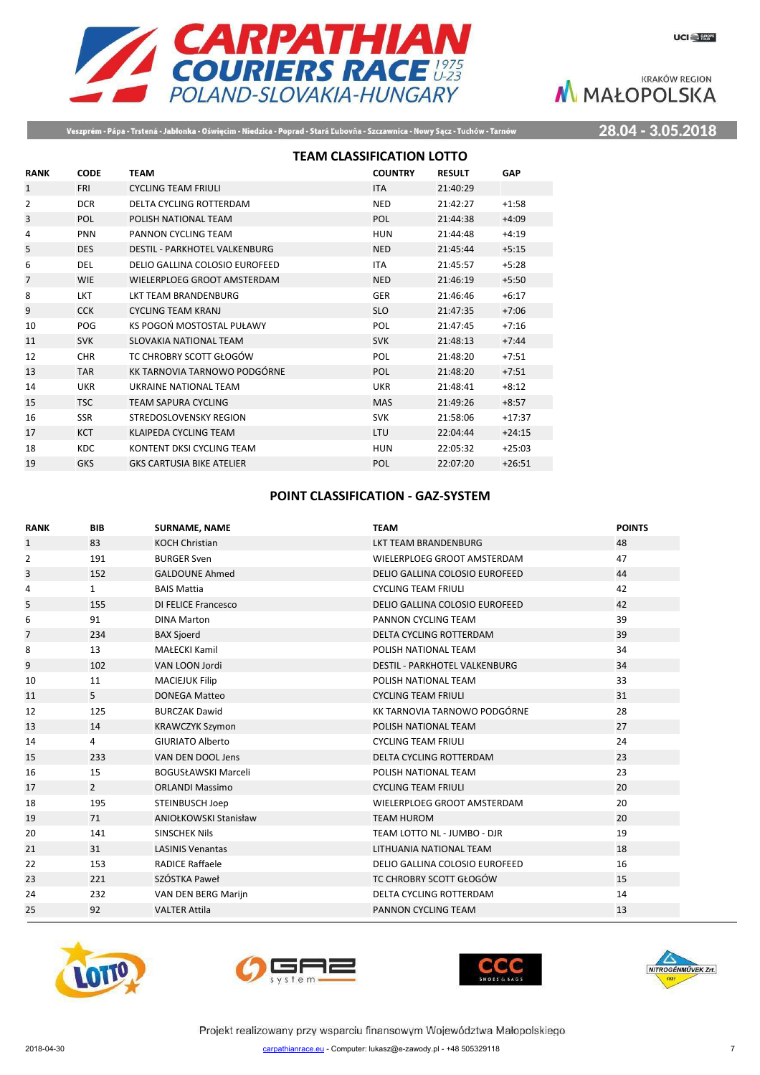

Veszprém - Pápa - Trstená - Jabłonka - Oświęcim - Niedzica - Poprad - Stará Ľubovňa - Szczawnica - Nowy Sącz - Tuchów - Tarnów

28.04 - 3.05.2018

|                |             | <b>TEAM CLASSIFICATION LOTTO</b>     |                |               |            |
|----------------|-------------|--------------------------------------|----------------|---------------|------------|
| <b>RANK</b>    | <b>CODE</b> | <b>TEAM</b>                          | <b>COUNTRY</b> | <b>RESULT</b> | <b>GAP</b> |
| $\mathbf{1}$   | <b>FRI</b>  | <b>CYCLING TEAM FRIULI</b>           | <b>ITA</b>     | 21:40:29      |            |
| 2              | <b>DCR</b>  | DELTA CYCLING ROTTERDAM              | <b>NED</b>     | 21:42:27      | $+1:58$    |
| 3              | POL         | POLISH NATIONAL TEAM                 | POL            | 21:44:38      | $+4:09$    |
| $\overline{4}$ | <b>PNN</b>  | PANNON CYCLING TEAM                  | <b>HUN</b>     | 21:44:48      | $+4:19$    |
| 5              | <b>DES</b>  | <b>DESTIL - PARKHOTEL VALKENBURG</b> | <b>NED</b>     | 21:45:44      | $+5:15$    |
| 6              | <b>DEL</b>  | DELIO GALLINA COLOSIO EUROFEED       | <b>ITA</b>     | 21:45:57      | $+5:28$    |
| $\overline{7}$ | WIE         | WIELERPLOEG GROOT AMSTERDAM          | <b>NED</b>     | 21:46:19      | $+5:50$    |
| 8              | LKT         | <b>IKT TEAM BRANDENBURG</b>          | <b>GER</b>     | 21:46:46      | $+6:17$    |
| 9              | <b>CCK</b>  | <b>CYCLING TEAM KRANJ</b>            | <b>SLO</b>     | 21:47:35      | $+7:06$    |
| 10             | POG         | KS POGOŃ MOSTOSTAL PUŁAWY            | POL            | 21:47:45      | $+7:16$    |
| 11             | <b>SVK</b>  | SLOVAKIA NATIONAL TEAM               | <b>SVK</b>     | 21:48:13      | $+7:44$    |
| 12             | <b>CHR</b>  | TC CHROBRY SCOTT GŁOGÓW              | POL            | 21:48:20      | $+7:51$    |
| 13             | <b>TAR</b>  | KK TARNOVIA TARNOWO PODGÓRNE         | POL            | 21:48:20      | $+7:51$    |
| 14             | <b>UKR</b>  | <b>UKRAINE NATIONAL TEAM</b>         | <b>UKR</b>     | 21:48:41      | $+8:12$    |
| 15             | <b>TSC</b>  | TEAM SAPURA CYCLING                  | <b>MAS</b>     | 21:49:26      | $+8:57$    |
| 16             | <b>SSR</b>  | STREDOSLOVENSKY REGION               | <b>SVK</b>     | 21:58:06      | $+17:37$   |
| 17             | <b>KCT</b>  | KLAIPEDA CYCLING TEAM                | LTU            | 22:04:44      | $+24:15$   |
| 18             | <b>KDC</b>  | KONTENT DKSI CYCLING TEAM            | <b>HUN</b>     | 22:05:32      | $+25:03$   |
| 19             | <b>GKS</b>  | <b>GKS CARTUSIA BIKE ATELIER</b>     | POL            | 22:07:20      | $+26:51$   |

## **POINT CLASSIFICATION - GAZ-SYSTEM**

| <b>RANK</b>    | <b>BIB</b>     | <b>SURNAME, NAME</b>         | <b>TEAM</b>                          | <b>POINTS</b> |
|----------------|----------------|------------------------------|--------------------------------------|---------------|
| $\mathbf{1}$   | 83             | <b>KOCH Christian</b>        | LKT TEAM BRANDENBURG                 | 48            |
| 2              | 191            | <b>BURGER Sven</b>           | WIELERPLOEG GROOT AMSTERDAM          | 47            |
| 3              | 152            | <b>GALDOUNE Ahmed</b>        | DELIO GALLINA COLOSIO EUROFEED       | 44            |
| 4              | $\mathbf{1}$   | <b>BAIS Mattia</b>           | <b>CYCLING TEAM FRIULI</b>           | 42            |
| 5              | 155            | <b>DI FELICE Francesco</b>   | DELIO GALLINA COLOSIO EUROFEED       | 42            |
| 6              | 91             | <b>DINA Marton</b>           | PANNON CYCLING TEAM                  | 39            |
| $\overline{7}$ | 234            | <b>BAX Sjoerd</b>            | <b>DELTA CYCLING ROTTERDAM</b>       | 39            |
| 8              | 13             | <b>MAŁECKI Kamil</b>         | POLISH NATIONAL TEAM                 | 34            |
| 9              | 102            | VAN LOON Jordi               | <b>DESTIL - PARKHOTEL VALKENBURG</b> | 34            |
| 10             | 11             | <b>MACIEJUK Filip</b>        | POLISH NATIONAL TEAM                 | 33            |
| 11             | 5              | <b>DONEGA Matteo</b>         | <b>CYCLING TEAM FRIULI</b>           | 31            |
| 12             | 125            | <b>BURCZAK Dawid</b>         | KK TARNOVIA TARNOWO PODGÓRNE         | 28            |
| 13             | 14             | <b>KRAWCZYK Szymon</b>       | POLISH NATIONAL TEAM                 | 27            |
| 14             | 4              | <b>GIURIATO Alberto</b>      | <b>CYCLING TEAM FRIULI</b>           | 24            |
| 15             | 233            | VAN DEN DOOL Jens            | <b>DELTA CYCLING ROTTERDAM</b>       | 23            |
| 16             | 15             | <b>BOGUSŁAWSKI Marceli</b>   | POLISH NATIONAL TEAM                 | 23            |
| 17             | $\overline{2}$ | <b>ORLANDI Massimo</b>       | <b>CYCLING TEAM FRIULI</b>           | 20            |
| 18             | 195            | STEINBUSCH Joep              | WIELERPLOEG GROOT AMSTERDAM          | 20            |
| 19             | 71             | <b>ANIOŁKOWSKI Stanisław</b> | <b>TEAM HUROM</b>                    | 20            |
| 20             | 141            | <b>SINSCHEK Nils</b>         | TEAM LOTTO NL - JUMBO - DJR          | 19            |
| 21             | 31             | <b>LASINIS Venantas</b>      | LITHUANIA NATIONAL TEAM              | 18            |
| 22             | 153            | <b>RADICE Raffaele</b>       | DELIO GALLINA COLOSIO EUROFEED       | 16            |
| 23             | 221            | SZÓSTKA Paweł                | TC CHROBRY SCOTT GŁOGÓW              | 15            |
| 24             | 232            | VAN DEN BERG Marijn          | DELTA CYCLING ROTTERDAM              | 14            |
| 25             | 92             | <b>VALTER Attila</b>         | PANNON CYCLING TEAM                  | 13            |
|                |                |                              |                                      |               |







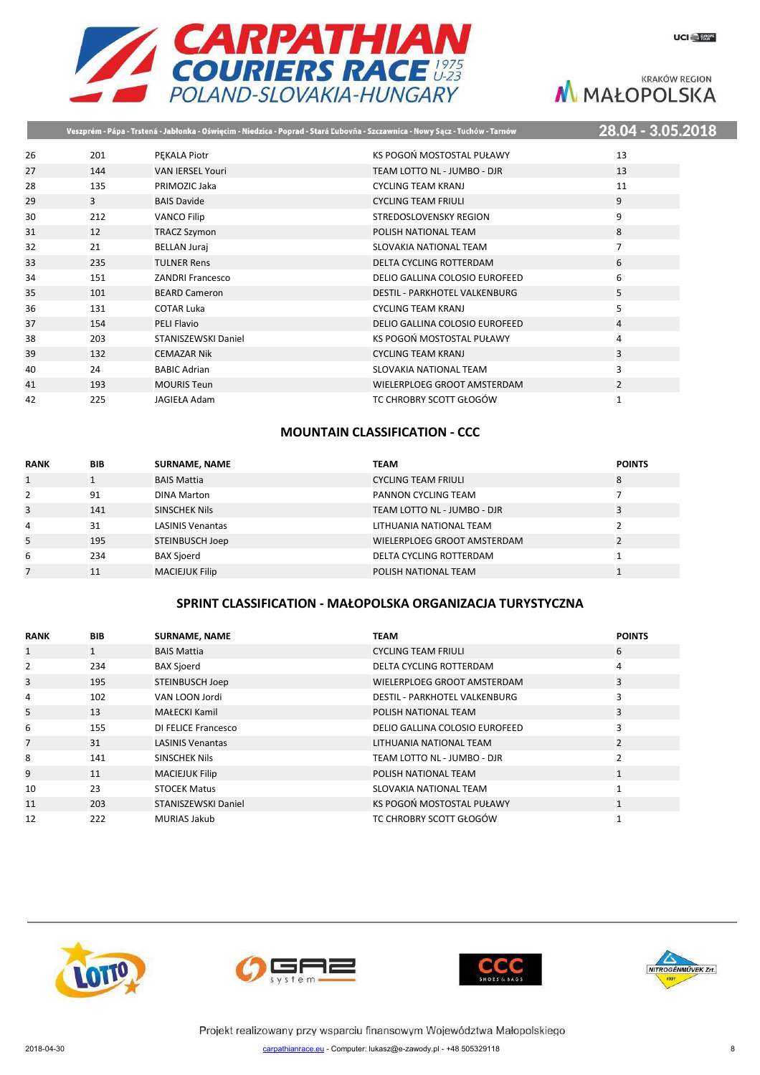



# **KRAKÓW REGION** M MAŁOPOLSKA

|    |     |                         | Veszprém - Pápa - Trstená - Jabłonka - Oświęcim - Niedzica - Poprad - Stará Ľubovňa - Szczawnica - Nowy Sącz - Tuchów - Tarnów | 28.04 - 3.05.20: |
|----|-----|-------------------------|--------------------------------------------------------------------------------------------------------------------------------|------------------|
| 26 | 201 | PEKALA Piotr            | KS POGOŃ MOSTOSTAL PUŁAWY                                                                                                      | 13               |
| 27 | 144 | <b>VAN IERSEL Youri</b> | TEAM LOTTO NL - JUMBO - DJR                                                                                                    | 13               |
| 28 | 135 | PRIMOZIC Jaka           | CYCLING TEAM KRANJ                                                                                                             | 11               |
| 29 | 3   | <b>BAIS Davide</b>      | <b>CYCLING TEAM FRIULI</b>                                                                                                     | 9                |
| 30 | 212 | <b>VANCO Filip</b>      | STREDOSLOVENSKY REGION                                                                                                         | 9                |
| 31 | 12  | <b>TRACZ Szymon</b>     | POLISH NATIONAL TEAM                                                                                                           | 8                |
| 32 | 21  | <b>BELLAN Juraj</b>     | SLOVAKIA NATIONAL TEAM                                                                                                         | 7                |
| 33 | 235 | <b>TULNER Rens</b>      | DELTA CYCLING ROTTERDAM                                                                                                        | 6                |
| 34 | 151 | <b>ZANDRI Francesco</b> | DELIO GALLINA COLOSIO EUROFEED                                                                                                 | 6                |
| 35 | 101 | <b>BEARD Cameron</b>    | <b>DESTIL - PARKHOTEL VALKENBURG</b>                                                                                           | 5                |
| 36 | 131 | <b>COTAR Luka</b>       | <b>CYCLING TEAM KRANJ</b>                                                                                                      | 5                |
| 37 | 154 | <b>PELI Flavio</b>      | DELIO GALLINA COLOSIO EUROFEED                                                                                                 | $\overline{4}$   |
| 38 | 203 | STANISZEWSKI Daniel     | KS POGOŃ MOSTOSTAL PUŁAWY                                                                                                      | 4                |
| 39 | 132 | <b>CEMAZAR Nik</b>      | <b>CYCLING TEAM KRANJ</b>                                                                                                      | 3                |
| 40 | 24  | <b>BABIC Adrian</b>     | SLOVAKIA NATIONAL TEAM                                                                                                         | 3                |
| 41 | 193 | <b>MOURIS Teun</b>      | WIELERPLOEG GROOT AMSTERDAM                                                                                                    | 2                |
| 42 | 225 | <b>JAGIEŁA Adam</b>     | TC CHROBRY SCOTT GŁOGÓW                                                                                                        | 1                |
|    |     |                         |                                                                                                                                |                  |

## **MOUNTAIN CLASSIFICATION - CCC**

| <b>RANK</b> | <b>BIB</b> | <b>SURNAME, NAME</b>    | <b>TEAM</b>                 | <b>POINTS</b> |
|-------------|------------|-------------------------|-----------------------------|---------------|
|             |            | <b>BAIS Mattia</b>      | <b>CYCLING TEAM FRIULI</b>  | 8             |
| 2           | 91         | <b>DINA Marton</b>      | PANNON CYCLING TEAM         |               |
| 3           | 141        | <b>SINSCHEK Nils</b>    | TEAM LOTTO NL - JUMBO - DJR | 3             |
| 4           | 31         | <b>LASINIS Venantas</b> | LITHUANIA NATIONAL TEAM     |               |
| 5           | 195        | STEINBUSCH Joep         | WIELERPLOEG GROOT AMSTERDAM |               |
| 6           | 234        | <b>BAX Sjoerd</b>       | DELTA CYCLING ROTTERDAM     |               |
|             | 11         | <b>MACIEJUK Filip</b>   | POLISH NATIONAL TEAM        |               |

## **SPRINT CLASSIFICATION - MAŁOPOLSKA ORGANIZACJA TURYSTYCZNA**

| <b>RANK</b>    | <b>BIB</b>   | <b>SURNAME, NAME</b>       | TEAM                                 | <b>POINTS</b>  |
|----------------|--------------|----------------------------|--------------------------------------|----------------|
| $\mathbf{1}$   | $\mathbf{1}$ | <b>BAIS Mattia</b>         | <b>CYCLING TEAM FRIULI</b>           | 6              |
| $\overline{2}$ | 234          | <b>BAX Sjoerd</b>          | DELTA CYCLING ROTTERDAM              | 4              |
| 3              | 195          | <b>STEINBUSCH Joep</b>     | WIELERPLOEG GROOT AMSTERDAM          | 3              |
| 4              | 102          | VAN LOON Jordi             | <b>DESTIL - PARKHOTEL VALKENBURG</b> | 3              |
| 5              | 13           | MAŁECKI Kamil              | POLISH NATIONAL TEAM                 | 3              |
| 6              | 155          | DI FELICE Francesco        | DELIO GALLINA COLOSIO EUROFEED       | 3              |
| $\overline{7}$ | 31           | <b>LASINIS Venantas</b>    | LITHUANIA NATIONAL TEAM              | 2              |
| 8              | 141          | <b>SINSCHEK Nils</b>       | TEAM LOTTO NL - JUMBO - DJR          | $\mathfrak{p}$ |
| 9              | 11           | <b>MACIEJUK Filip</b>      | POLISH NATIONAL TEAM                 | $\mathbf{1}$   |
| 10             | 23           | <b>STOCEK Matus</b>        | SLOVAKIA NATIONAL TEAM               | $\mathbf{A}$   |
| 11             | 203          | <b>STANISZEWSKI Daniel</b> | KS POGOŃ MOSTOSTAL PUŁAWY            | $\mathbf{1}$   |
| 12             | 222          | <b>MURIAS Jakub</b>        | TC CHROBRY SCOTT GŁOGÓW              |                |







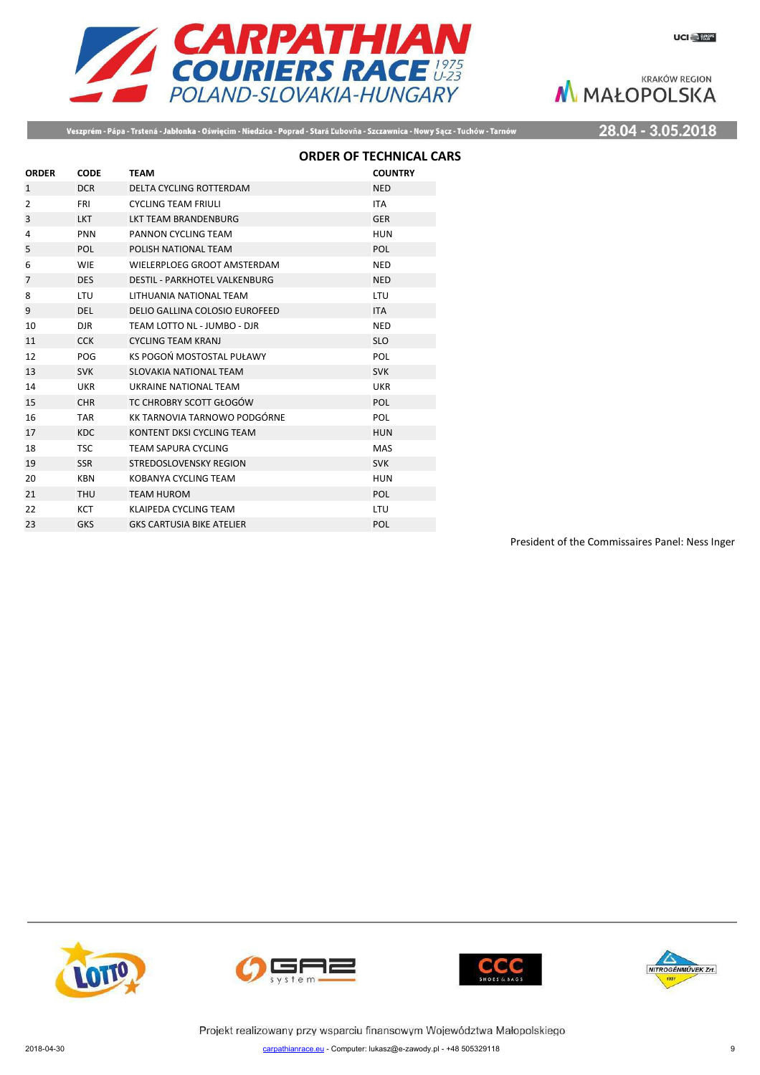

Veszprém - Pápa - Trstená - Jabłonka - Oświęcim - Niedzica - Poprad - Stará Ľubovňa - Szczawnica - Nowy Sącz - Tuchów - Tarnów

28.04 - 3.05.2018

|                |             |                                      | <b>ORDER OF TECHNICAL CARS</b> |  |
|----------------|-------------|--------------------------------------|--------------------------------|--|
| <b>ORDER</b>   | <b>CODE</b> | <b>TEAM</b>                          | <b>COUNTRY</b>                 |  |
| 1              | <b>DCR</b>  | DELTA CYCLING ROTTERDAM              | <b>NED</b>                     |  |
| $\overline{2}$ | <b>FRI</b>  | <b>CYCLING TEAM FRIULI</b>           | <b>ITA</b>                     |  |
| 3              | <b>LKT</b>  | <b>LKT TEAM BRANDENBURG</b>          | <b>GER</b>                     |  |
| 4              | <b>PNN</b>  | PANNON CYCLING TEAM                  | <b>HUN</b>                     |  |
| 5              | <b>POL</b>  | POLISH NATIONAL TEAM                 | <b>POL</b>                     |  |
| 6              | <b>WIE</b>  | WIELERPLOEG GROOT AMSTERDAM          | <b>NED</b>                     |  |
| $\overline{7}$ | <b>DES</b>  | <b>DESTIL - PARKHOTEL VALKENBURG</b> | <b>NED</b>                     |  |
| 8              | LTU         | <b>I ITHUANIA NATIONAL TFAM</b>      | LTU                            |  |
| 9              | <b>DEL</b>  | DELIO GALLINA COLOSIO EUROFEED       | <b>ITA</b>                     |  |
| 10             | <b>DJR</b>  | TEAM LOTTO NL - JUMBO - DJR          | <b>NED</b>                     |  |
| 11             | <b>CCK</b>  | <b>CYCLING TEAM KRANJ</b>            | <b>SLO</b>                     |  |
| 12             | POG         | KS POGOŃ MOSTOSTAL PUŁAWY            | POL                            |  |
| 13             | <b>SVK</b>  | SLOVAKIA NATIONAL TEAM               | <b>SVK</b>                     |  |
| 14             | <b>UKR</b>  | <b>UKRAINE NATIONAL TEAM</b>         | <b>UKR</b>                     |  |
| 15             | <b>CHR</b>  | TC CHROBRY SCOTT GŁOGÓW              | <b>POL</b>                     |  |
| 16             | <b>TAR</b>  | KK TARNOVIA TARNOWO PODGÓRNE         | POL                            |  |
| 17             | <b>KDC</b>  | KONTENT DKSI CYCLING TEAM            | <b>HUN</b>                     |  |
| 18             | <b>TSC</b>  | TEAM SAPURA CYCLING                  | <b>MAS</b>                     |  |
| 19             | <b>SSR</b>  | STREDOSLOVENSKY REGION               | <b>SVK</b>                     |  |
| 20             | <b>KBN</b>  | KOBANYA CYCLING TEAM                 | <b>HUN</b>                     |  |
| 21             | <b>THU</b>  | <b>TEAM HUROM</b>                    | <b>POL</b>                     |  |
| 22             | <b>KCT</b>  | KLAIPEDA CYCLING TEAM                | LTU                            |  |
| 23             | <b>GKS</b>  | <b>GKS CARTUSIA BIKE ATELIER</b>     | POL                            |  |
|                |             |                                      |                                |  |

President of the Commissaires Panel: Ness Inger







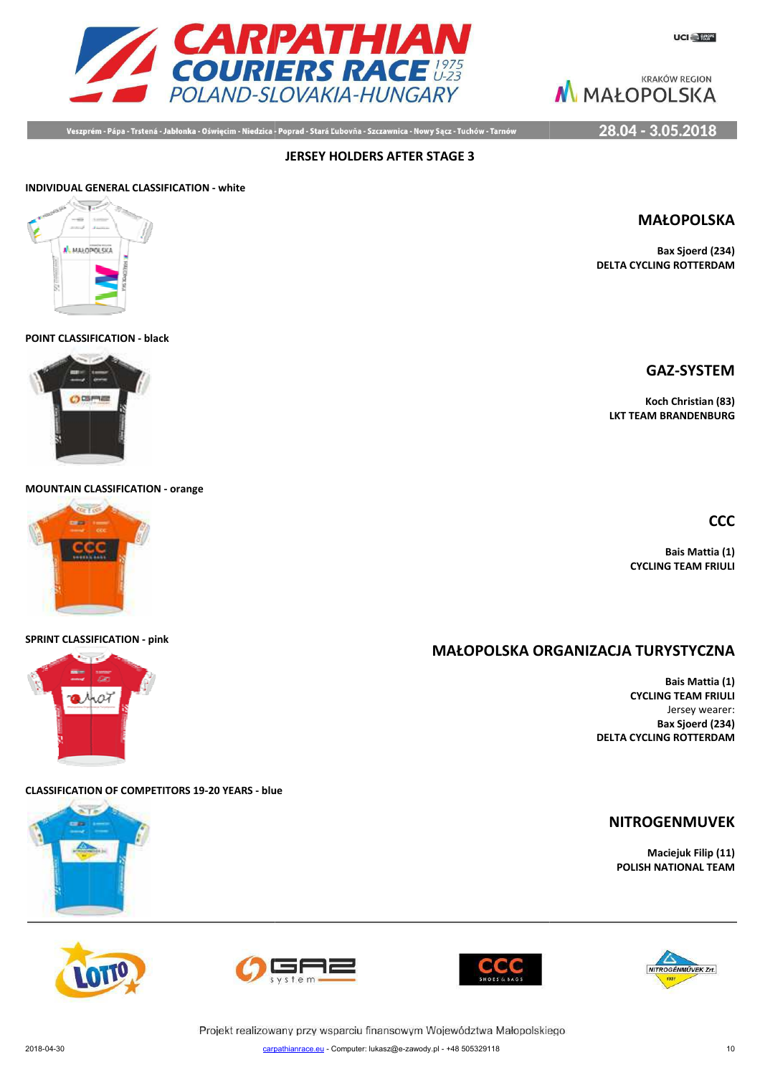

Veszprém - Pápa - Trstená - Jabłonka - Oświęcim - Niedzica - Poprad - Stará Ľubovňa - Szczawnica - Nowy Sącz - Tuchów - Tarnów

**JERSEY HOLDERS AFTER STAGE 3**

### 28.04 - 3.05.2018

# **INDIVIDUAL GENERAL CLASSIFICATION - white**



**POINT CLASSIFICATION - black**



**MOUNTAIN CLASSIFICATION - orange**



#### **SPRINT CLASSIFICATION - pink**



**CLASSIFICATION OF COMPETITORS 19-20 YEARS - blue**











Projekt realizowany przy wsparciu finansowym Województwa Małopolskiego



**Bax Sjoerd (234) DELTA CYCLING ROTTERDAM**

**GAZ-SYSTEM**

**Koch Christian (83) LKT TEAM BRANDENBURG**

**CCC**

**Bais Mattia (1) CYCLING TEAM FRIULI**

# **MAŁOPOLSKA ORG ORGANIZACJA TURYSTYCZNA**

**Bais Mattia (1) CYCLING TEAM FRIULI** Jersey wearer: **Bax Sjoerd (234) DELTA CYCLING ROTTERDAM**

# **NITROGENMUVEK**

**Maciejuk Filip (11) POLISH NATIONAL TEAM**

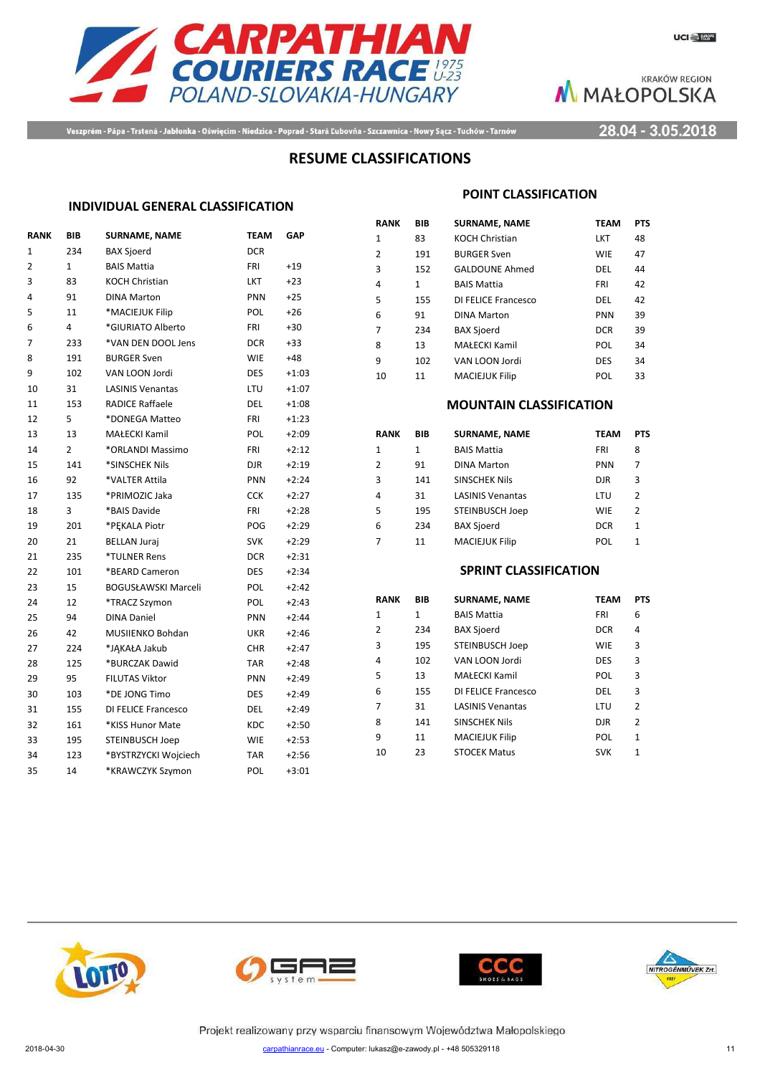



Veszprém - Pápa - Trstená - Jabłonka - Oświęcim - Niedzica - Poprad - Stará Ľubovňa - Szczawnica - Nowy Sącz - Tuchów - Tarnów

28.04 - 3.05.2018

## **RESUME CLASSIFICATIONS**

### **INDIVIDUAL GENERAL CLASSIFICATION**

| <b>RANK</b>    | BIB            | <b>SURNAME, NAME</b>       | <b>TEAM</b> | <b>GAP</b> |
|----------------|----------------|----------------------------|-------------|------------|
| $\mathbf{1}$   | 234            | <b>BAX Sjoerd</b>          | <b>DCR</b>  |            |
| $\overline{2}$ | $\mathbf{1}$   | <b>BAIS Mattia</b>         | <b>FRI</b>  | $+19$      |
| 3              | 83             | <b>KOCH Christian</b>      | LKT         | $+23$      |
| 4              | 91             | <b>DINA Marton</b>         | PNN         | $+25$      |
| 5              | 11             | *MACIEJUK Filip            | <b>POL</b>  | $+26$      |
| 6              | 4              | *GIURIATO Alberto          | <b>FRI</b>  | $+30$      |
| 7              | 233            | *VAN DEN DOOL Jens         | <b>DCR</b>  | +33        |
| 8              | 191            | <b>BURGER Sven</b>         | <b>WIE</b>  | +48        |
| 9              | 102            | VAN LOON Jordi             | DES         | $+1:03$    |
| 10             | 31             | <b>LASINIS Venantas</b>    | LTU         | $+1:07$    |
| 11             | 153            | <b>RADICE Raffaele</b>     | DEL         | $+1:08$    |
| 12             | 5              | *DONEGA Matteo             | FRI         | $+1:23$    |
| 13             | 13             | MAŁECKI Kamil              | POL         | $+2:09$    |
| 14             | $\overline{2}$ | *ORLANDI Massimo           | FRI         | $+2:12$    |
| 15             | 141            | *SINSCHEK Nils             | DJR         | $+2:19$    |
| 16             | 92             | *VALTER Attila             | PNN         | $+2:24$    |
| 17             | 135            | *PRIMOZIC Jaka             | <b>CCK</b>  | $+2:27$    |
| 18             | 3              | *BAIS Davide               | FRI         | $+2:28$    |
| 19             | 201            | *PEKALA Piotr              | POG         | $+2:29$    |
| 20             | 21             | <b>BELLAN Juraj</b>        | <b>SVK</b>  | $+2:29$    |
| 21             | 235            | *TULNER Rens               | <b>DCR</b>  | $+2:31$    |
| 22             | 101            | *BEARD Cameron             | <b>DES</b>  | $+2:34$    |
| 23             | 15             | <b>BOGUSŁAWSKI Marceli</b> | POL         | $+2:42$    |
| 24             | 12             | *TRACZ Szymon              | POL         | $+2:43$    |
| 25             | 94             | <b>DINA Daniel</b>         | PNN         | $+2:44$    |
| 26             | 42             | MUSIIENKO Bohdan           | UKR         | $+2:46$    |
| 27             | 224            | *JĄKAŁA Jakub              | <b>CHR</b>  | $+2:47$    |
| 28             | 125            | *BURCZAK Dawid             | <b>TAR</b>  | $+2:48$    |
| 29             | 95             | <b>FILUTAS Viktor</b>      | PNN         | $+2:49$    |
| 30             | 103            | *DE JONG Timo              | DES         | $+2:49$    |
| 31             | 155            | DI FELICE Francesco        | <b>DEL</b>  | $+2:49$    |
| 32             | 161            | *KISS Hunor Mate           | <b>KDC</b>  | $+2:50$    |
| 33             | 195            | <b>STEINBUSCH Joep</b>     | <b>WIE</b>  | $+2:53$    |
| 34             | 123            | *BYSTRZYCKI Wojciech       | <b>TAR</b>  | $+2:56$    |
| 35             | 14             | *KRAWCZYK Szymon           | POL         | $+3:01$    |
|                |                |                            |             |            |

#### **POINT CLASSIFICATION**

| RANK | BIB          | <b>SURNAME, NAME</b>  | <b>TEAM</b> | <b>PTS</b> |
|------|--------------|-----------------------|-------------|------------|
| 1    | 83           | <b>KOCH Christian</b> | LKT         | 48         |
| 2    | 191          | <b>BURGER Sven</b>    | <b>WIE</b>  | 47         |
| 3    | 152          | <b>GALDOUNE Ahmed</b> | DEL         | 44         |
| 4    | $\mathbf{1}$ | <b>BAIS Mattia</b>    | FRI         | 42         |
| 5    | 155          | DI FELICE Francesco   | DEL         | 42         |
| 6    | 91           | <b>DINA Marton</b>    | <b>PNN</b>  | 39         |
| 7    | 234          | <b>BAX Sjoerd</b>     | <b>DCR</b>  | 39         |
| 8    | 13           | MAŁECKI Kamil         | POL         | 34         |
| 9    | 102          | VAN LOON Jordi        | <b>DES</b>  | 34         |
| 10   | 11           | <b>MACIEJUK Filip</b> | POL         | 33         |

#### **MOUNTAIN CLASSIFICATION**

| RANK | BIB | <b>SURNAME, NAME</b>    | <b>TEAM</b> | <b>PTS</b> |
|------|-----|-------------------------|-------------|------------|
| 1    | 1   | <b>BAIS Mattia</b>      | FRI         | 8          |
| 2    | 91  | <b>DINA Marton</b>      | <b>PNN</b>  | 7          |
| 3    | 141 | SINSCHEK Nils           | <b>DJR</b>  | 3          |
| 4    | 31  | <b>LASINIS Venantas</b> | LTU         | 2          |
| 5    | 195 | STEINBUSCH Joep         | <b>WIE</b>  | 2          |
| 6    | 234 | <b>BAX Sjoerd</b>       | <b>DCR</b>  | 1          |
| 7    | 11  | <b>MACIEJUK Filip</b>   | POL         | 1          |

### **SPRINT CLASSIFICATION**

| RANK | BIB | <b>SURNAME, NAME</b>    | <b>TEAM</b> | <b>PTS</b>     |
|------|-----|-------------------------|-------------|----------------|
| 1    | 1   | <b>BAIS Mattia</b>      | FRI         | 6              |
| 2    | 234 | <b>BAX Sjoerd</b>       | <b>DCR</b>  | 4              |
| 3    | 195 | <b>STEINBUSCH Joep</b>  | <b>WIE</b>  | 3              |
| 4    | 102 | VAN LOON Jordi          | <b>DES</b>  | 3              |
| 5    | 13  | MAŁECKI Kamil           | POL         | 3              |
| 6    | 155 | DI FELICE Francesco     | DEL         | 3              |
| 7    | 31  | <b>LASINIS Venantas</b> | LTU         | $\overline{2}$ |
| 8    | 141 | <b>SINSCHEK Nils</b>    | <b>DJR</b>  | 2              |
| q    | 11  | <b>MACIEJUK Filip</b>   | POL         | 1              |
| 10   | 23  | <b>STOCEK Matus</b>     | <b>SVK</b>  | 1              |
|      |     |                         |             |                |